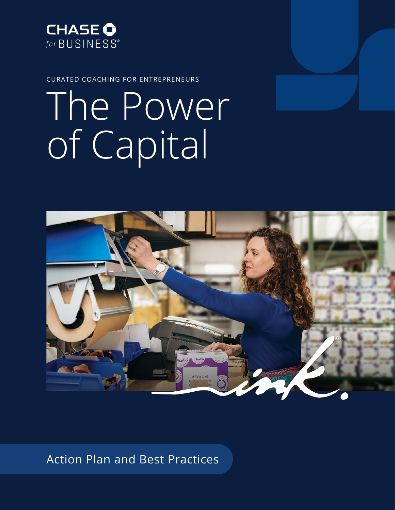

CURATED COACHING FOR ENTREPRENEURS

# The Power of Capital



Action Plan and Best Practices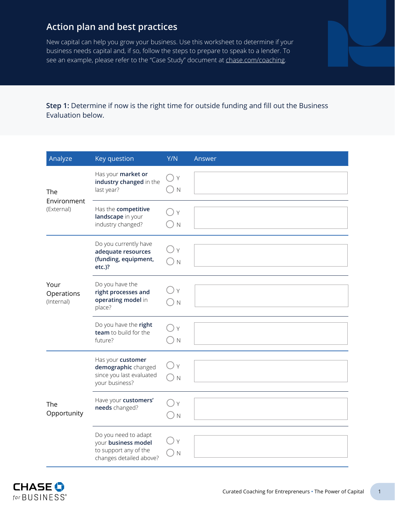## **Action plan and best practices**

New capital can help you grow your business. Use this worksheet to determine if your business needs capital and, if so, follow the steps to prepare to speak to a lender. To see an example, please refer to the "Case Study" document at [chase.com/coaching.](https://www.chase.com/business/coaching)

**Step 1:** Determine if now is the right time for outside funding and fill out the Business Evaluation below.

| Analyze                          | Key question                                                                                    | Y/N                         | Answer |
|----------------------------------|-------------------------------------------------------------------------------------------------|-----------------------------|--------|
| The<br>Environment<br>(External) | Has your market or<br>industry changed in the<br>last year?                                     | $\bigcap$ Y<br>$\mathbb N$  |        |
|                                  | Has the competitive<br>landscape in your<br>industry changed?                                   | Y<br>N                      |        |
|                                  | Do you currently have<br>adequate resources<br>(funding, equipment,<br>$etc.$ )?                | ΙY<br>N                     |        |
| Your<br>Operations<br>(Internal) | Do you have the<br>right processes and<br>operating model in<br>place?                          | $\mathsf{Y}$<br>$\mathbb N$ |        |
|                                  | Do you have the right<br>team to build for the<br>future?                                       | Y<br>$\mathbb N$            |        |
| The<br>Opportunity               | Has your customer<br>demographic changed<br>since you last evaluated<br>your business?          | $\mathsf{Y}$<br>$\mathbb N$ |        |
|                                  | Have your customers'<br>needs changed?                                                          | Y<br>N                      |        |
|                                  | Do you need to adapt<br>your business model<br>to support any of the<br>changes detailed above? | Y<br>N                      |        |

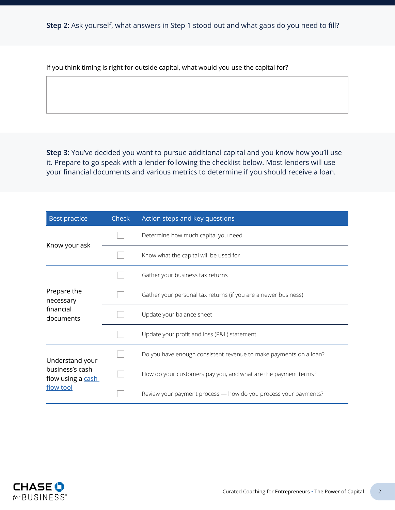If you think timing is right for outside capital, what would you use the capital for?

**Step 3:** You've decided you want to pursue additional capital and you know how you'll use it. Prepare to go speak with a lender following the checklist below. Most lenders will use your financial documents and various metrics to determine if you should receive a loan.

| <b>Best practice</b>                 | <b>Check</b> | Action steps and key questions                                    |  |
|--------------------------------------|--------------|-------------------------------------------------------------------|--|
| Know your ask                        |              | Determine how much capital you need                               |  |
|                                      |              | Know what the capital will be used for                            |  |
|                                      |              | Gather your business tax returns                                  |  |
| Prepare the<br>necessary             |              | Gather your personal tax returns (if you are a newer business)    |  |
| financial<br>documents               |              | Update your balance sheet                                         |  |
|                                      |              | Update your profit and loss (P&L) statement                       |  |
| Understand your                      |              | Do you have enough consistent revenue to make payments on a loan? |  |
| business's cash<br>flow using a cash |              | How do your customers pay you, and what are the payment terms?    |  |
| flow tool                            |              | Review your payment process - how do you process your payments?   |  |

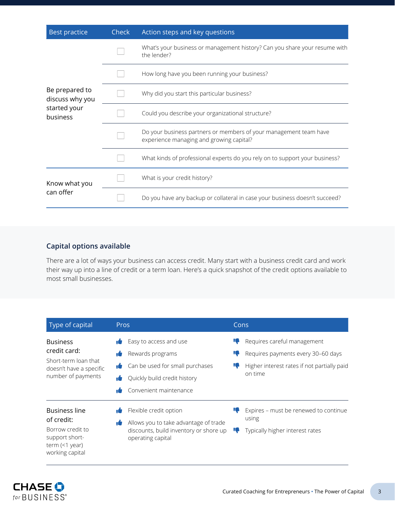| <b>Best practice</b>              | <b>Check</b> | Action steps and key questions                                                                                |
|-----------------------------------|--------------|---------------------------------------------------------------------------------------------------------------|
|                                   |              | What's your business or management history? Can you share your resume with<br>the lender?                     |
|                                   |              | How long have you been running your business?                                                                 |
| Be prepared to<br>discuss why you |              | Why did you start this particular business?                                                                   |
| started your<br>business          |              | Could you describe your organizational structure?                                                             |
|                                   |              | Do your business partners or members of your management team have<br>experience managing and growing capital? |
|                                   |              | What kinds of professional experts do you rely on to support your business?                                   |
| Know what you<br>can offer        |              | What is your credit history?                                                                                  |
|                                   |              | Do you have any backup or collateral in case your business doesn't succeed?                                   |

### **Capital options available**

There are a lot of ways your business can access credit. Many start with a business credit card and work their way up into a line of credit or a term loan. Here's a quick snapshot of the credit options available to most small businesses.

| Type of capital                                                                                                          | Pros                                                                                                                                                            | Cons          |                                                                                                                             |
|--------------------------------------------------------------------------------------------------------------------------|-----------------------------------------------------------------------------------------------------------------------------------------------------------------|---------------|-----------------------------------------------------------------------------------------------------------------------------|
| <b>Business</b><br>credit card:<br>Short-term loan that<br>doesn't have a specific<br>number of payments                 | Easy to access and use<br>Rewards programs<br>۱Û<br>Can be used for small purchases<br>ı6<br>Quickly build credit history<br>۱Ō<br>Convenient maintenance<br>۱Ö | 47<br>47<br>4 | Requires careful management<br>Requires payments every 30-60 days<br>Higher interest rates if not partially paid<br>on time |
| <b>Business line</b><br>of credit:<br>Borrow credit to<br>support short-<br>term $($ / $\gamma$ year)<br>working capital | Flexible credit option<br>۱Ó<br>Allows you to take advantage of trade<br>۱Ó<br>discounts, build inventory or shore up<br>operating capital                      | ч.            | Expires - must be renewed to continue<br>using<br>Typically higher interest rates                                           |

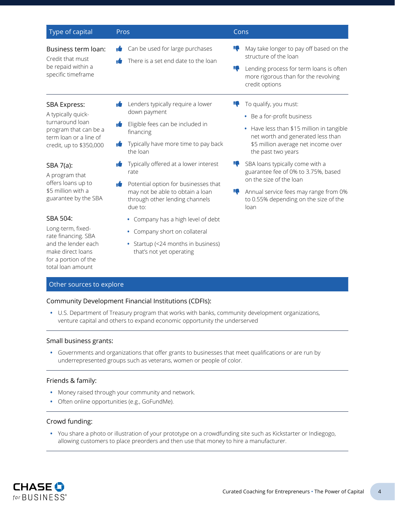| Type of capital                                                                                                                     | Pros                                                                                                                                                                         | Cons                                                                                                                                                                                                      |
|-------------------------------------------------------------------------------------------------------------------------------------|------------------------------------------------------------------------------------------------------------------------------------------------------------------------------|-----------------------------------------------------------------------------------------------------------------------------------------------------------------------------------------------------------|
| Business term loan:<br>Credit that must<br>be repaid within a<br>specific timeframe                                                 | Can be used for large purchases<br>۱Ó<br>There is a set end date to the loan<br>۱Ó                                                                                           | May take longer to pay off based on the<br>10<br>structure of the loan<br>Lending process for term loans is often<br>10<br>more rigorous than for the revolving<br>credit options                         |
| SBA Express:<br>A typically quick-<br>turnaround loan<br>program that can be a<br>term loan or a line of<br>credit, up to \$350,000 | Lenders typically require a lower<br>down payment<br>Eligible fees can be included in<br>ıÓ<br>financing<br>Typically have more time to pay back<br>the loan                 | To qualify, you must:<br>18<br>Be a for-profit business<br>Have less than \$15 million in tangible<br>٠<br>net worth and generated less than<br>\$5 million average net income over<br>the past two years |
| SBA 7(a):<br>A program that<br>offers loans up to<br>\$5 million with a<br>guarantee by the SBA                                     | Typically offered at a lower interest<br>rate<br>Potential option for businesses that<br>۱É<br>may not be able to obtain a loan<br>through other lending channels<br>due to: | ю<br>SBA loans typically come with a<br>guarantee fee of 0% to 3.75%, based<br>on the size of the loan<br>10<br>Annual service fees may range from 0%<br>to 0.55% depending on the size of the<br>loan    |
| SBA 504:<br>Long-term, fixed-<br>rate financing. SBA<br>and the lender each<br>make direct loans<br>for a portion of the            | • Company has a high level of debt<br>Company short on collateral<br>۰<br>• Startup (<24 months in business)<br>that's not yet operating                                     |                                                                                                                                                                                                           |

#### Other sources to explore

total loan amount

#### Community Development Financial Institutions (CDFIs):

**•** U.S. Department of Treasury program that works with banks, community development organizations, venture capital and others to expand economic opportunity the underserved

#### Small business grants:

**•** Governments and organizations that offer grants to businesses that meet qualifications or are run by underrepresented groups such as veterans, women or people of color.

#### Friends & family:

- **•** Money raised through your community and network.
- **•** Often online opportunities (e.g., GoFundMe).

#### Crowd funding:

**•** You share a photo or illustration of your prototype on a crowdfunding site such as Kickstarter or Indiegogo, allowing customers to place preorders and then use that money to hire a manufacturer.

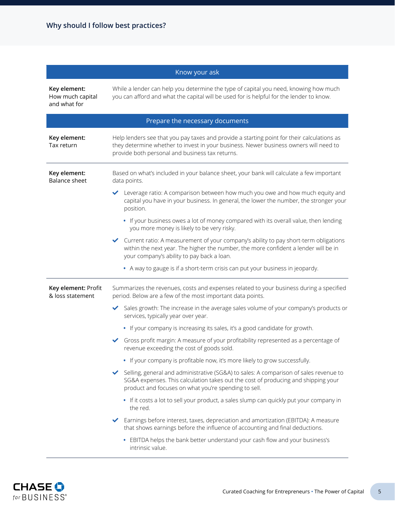| Know your ask                                    |                                                                                                                                                                                                                                        |  |
|--------------------------------------------------|----------------------------------------------------------------------------------------------------------------------------------------------------------------------------------------------------------------------------------------|--|
| Key element:<br>How much capital<br>and what for | While a lender can help you determine the type of capital you need, knowing how much<br>you can afford and what the capital will be used for is helpful for the lender to know.                                                        |  |
|                                                  | Prepare the necessary documents                                                                                                                                                                                                        |  |
| Key element:<br>Tax return                       | Help lenders see that you pay taxes and provide a starting point for their calculations as<br>they determine whether to invest in your business. Newer business owners will need to<br>provide both personal and business tax returns. |  |
| Key element:<br><b>Balance sheet</b>             | Based on what's included in your balance sheet, your bank will calculate a few important<br>data points.                                                                                                                               |  |
|                                                  | Leverage ratio: A comparison between how much you owe and how much equity and<br>capital you have in your business. In general, the lower the number, the stronger your<br>position.                                                   |  |
|                                                  | • If your business owes a lot of money compared with its overall value, then lending<br>you more money is likely to be very risky.                                                                                                     |  |
|                                                  | ← Current ratio: A measurement of your company's ability to pay short-term obligations<br>within the next year. The higher the number, the more confident a lender will be in<br>your company's ability to pay back a loan.            |  |
|                                                  | • A way to gauge is if a short-term crisis can put your business in jeopardy.                                                                                                                                                          |  |
| Key element: Profit<br>& loss statement          | Summarizes the revenues, costs and expenses related to your business during a specified<br>period. Below are a few of the most important data points.                                                                                  |  |
|                                                  | Sales growth: The increase in the average sales volume of your company's products or<br>services, typically year over year.                                                                                                            |  |
|                                                  | • If your company is increasing its sales, it's a good candidate for growth.                                                                                                                                                           |  |
|                                                  | Gross profit margin: A measure of your profitability represented as a percentage of<br>$\checkmark$<br>revenue exceeding the cost of goods sold.                                                                                       |  |
|                                                  | • If your company is profitable now, it's more likely to grow successfully.                                                                                                                                                            |  |
|                                                  | Selling, general and administrative (SG&A) to sales: A comparison of sales revenue to<br>SG&A expenses. This calculation takes out the cost of producing and shipping your<br>product and focuses on what you're spending to sell.     |  |
|                                                  | . If it costs a lot to sell your product, a sales slump can quickly put your company in<br>the red.                                                                                                                                    |  |
|                                                  | Earnings before interest, taxes, depreciation and amortization (EBITDA): A measure<br>that shows earnings before the influence of accounting and final deductions.                                                                     |  |
|                                                  | • EBITDA helps the bank better understand your cash flow and your business's<br>intrinsic value.                                                                                                                                       |  |